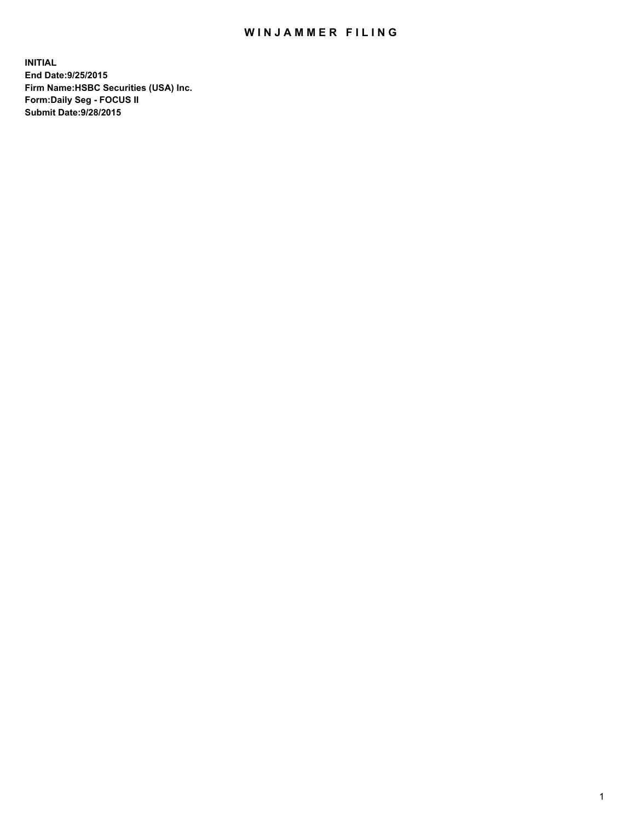## WIN JAMMER FILING

**INITIAL End Date:9/25/2015 Firm Name:HSBC Securities (USA) Inc. Form:Daily Seg - FOCUS II Submit Date:9/28/2015**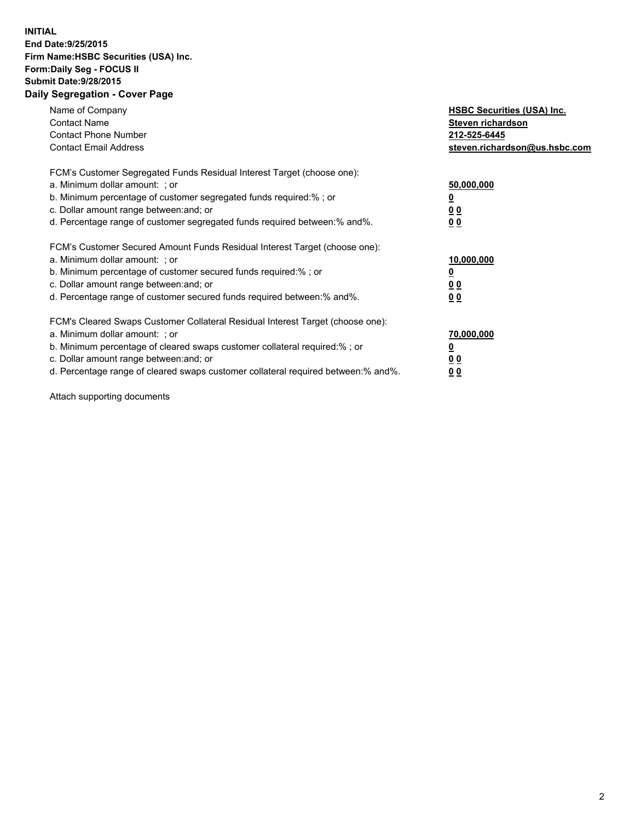## **INITIAL End Date:9/25/2015 Firm Name:HSBC Securities (USA) Inc. Form:Daily Seg - FOCUS II Submit Date:9/28/2015 Daily Segregation - Cover Page**

| Name of Company<br><b>Contact Name</b><br><b>Contact Phone Number</b><br><b>Contact Email Address</b>                                                                                                                                                                                                                          | <b>HSBC Securities (USA) Inc.</b><br>Steven richardson<br>212-525-6445<br>steven.richardson@us.hsbc.com |
|--------------------------------------------------------------------------------------------------------------------------------------------------------------------------------------------------------------------------------------------------------------------------------------------------------------------------------|---------------------------------------------------------------------------------------------------------|
| FCM's Customer Segregated Funds Residual Interest Target (choose one):<br>a. Minimum dollar amount: ; or<br>b. Minimum percentage of customer segregated funds required:%; or<br>c. Dollar amount range between: and; or<br>d. Percentage range of customer segregated funds required between: % and %.                        | 50,000,000<br>0 <sub>0</sub><br>0 <sub>0</sub>                                                          |
| FCM's Customer Secured Amount Funds Residual Interest Target (choose one):<br>a. Minimum dollar amount: ; or<br>b. Minimum percentage of customer secured funds required:%; or<br>c. Dollar amount range between: and; or<br>d. Percentage range of customer secured funds required between:% and%.                            | 10,000,000<br><u>0</u><br>0 <sub>0</sub><br>0 <sub>0</sub>                                              |
| FCM's Cleared Swaps Customer Collateral Residual Interest Target (choose one):<br>a. Minimum dollar amount: ; or<br>b. Minimum percentage of cleared swaps customer collateral required:% ; or<br>c. Dollar amount range between: and; or<br>d. Percentage range of cleared swaps customer collateral required between:% and%. | 70,000,000<br>00<br><u>00</u>                                                                           |

Attach supporting documents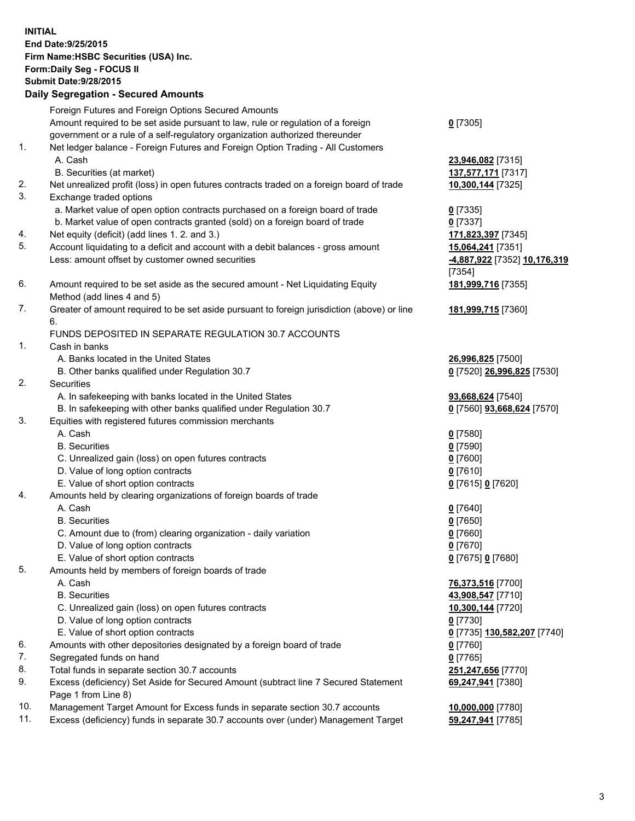**INITIAL End Date:9/25/2015 Firm Name:HSBC Securities (USA) Inc. Form:Daily Seg - FOCUS II Submit Date:9/28/2015 Daily Segregation - Secured Amounts** Foreign Futures and Foreign Options Secured Amounts Amount required to be set aside pursuant to law, rule or regulation of a foreign government or a rule of a self-regulatory organization authorized thereunder **0** [7305] 1. Net ledger balance - Foreign Futures and Foreign Option Trading - All Customers A. Cash **23,946,082** [7315] B. Securities (at market) **137,577,171** [7317] 2. Net unrealized profit (loss) in open futures contracts traded on a foreign board of trade **10,300,144** [7325] 3. Exchange traded options a. Market value of open option contracts purchased on a foreign board of trade **0** [7335] b. Market value of open contracts granted (sold) on a foreign board of trade **0** [7337] 4. Net equity (deficit) (add lines 1. 2. and 3.) **171,823,397** [7345] 5. Account liquidating to a deficit and account with a debit balances - gross amount **15,064,241** [7351] Less: amount offset by customer owned securities **-4,887,922** [7352] **10,176,319** [7354] 6. Amount required to be set aside as the secured amount - Net Liquidating Equity Method (add lines 4 and 5) **181,999,716** [7355] 7. Greater of amount required to be set aside pursuant to foreign jurisdiction (above) or line 6. **181,999,715** [7360] FUNDS DEPOSITED IN SEPARATE REGULATION 30.7 ACCOUNTS 1. Cash in banks A. Banks located in the United States **26,996,825** [7500] B. Other banks qualified under Regulation 30.7 **0** [7520] **26,996,825** [7530] 2. Securities A. In safekeeping with banks located in the United States **93,668,624** [7540] B. In safekeeping with other banks qualified under Regulation 30.7 **0** [7560] **93,668,624** [7570] 3. Equities with registered futures commission merchants A. Cash **0** [7580] B. Securities **0** [7590] C. Unrealized gain (loss) on open futures contracts **0** [7600] D. Value of long option contracts **0** [7610] E. Value of short option contracts **0** [7615] **0** [7620] 4. Amounts held by clearing organizations of foreign boards of trade A. Cash **0** [7640] B. Securities **0** [7650] C. Amount due to (from) clearing organization - daily variation **0** [7660] D. Value of long option contracts **0** [7670] E. Value of short option contracts **0** [7675] **0** [7680] 5. Amounts held by members of foreign boards of trade A. Cash **76,373,516** [7700] B. Securities **43,908,547** [7710] C. Unrealized gain (loss) on open futures contracts **10,300,144** [7720] D. Value of long option contracts **0** [7730] E. Value of short option contracts **0** [7735] **130,582,207** [7740] 6. Amounts with other depositories designated by a foreign board of trade **0** [7760] 7. Segregated funds on hand **0** [7765] 8. Total funds in separate section 30.7 accounts **251,247,656** [7770] 9. Excess (deficiency) Set Aside for Secured Amount (subtract line 7 Secured Statement Page 1 from Line 8) **69,247,941** [7380] 10. Management Target Amount for Excess funds in separate section 30.7 accounts **10,000,000** [7780]

11. Excess (deficiency) funds in separate 30.7 accounts over (under) Management Target **59,247,941** [7785]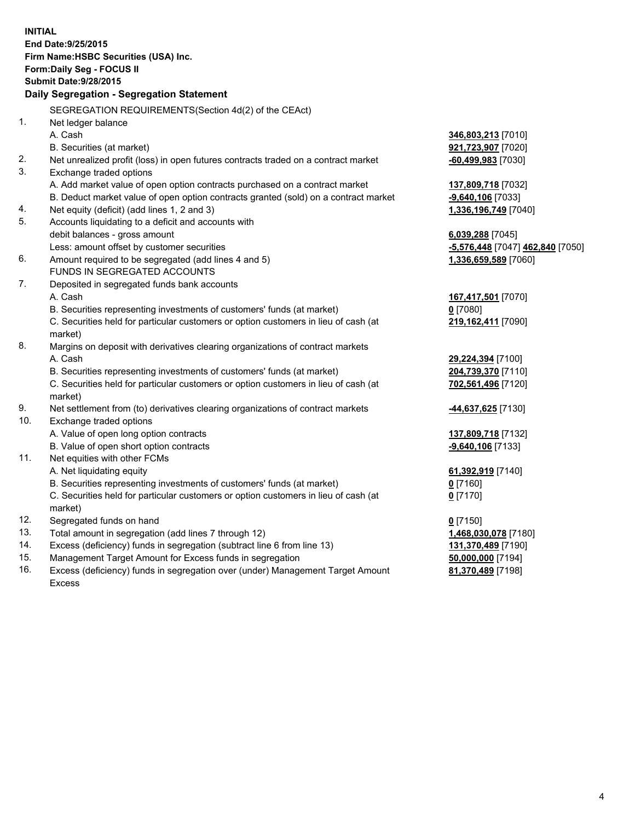| <b>INITIAL</b>                        |                                                                                                                                     |                                         |  |  |  |
|---------------------------------------|-------------------------------------------------------------------------------------------------------------------------------------|-----------------------------------------|--|--|--|
| End Date: 9/25/2015                   |                                                                                                                                     |                                         |  |  |  |
| Firm Name: HSBC Securities (USA) Inc. |                                                                                                                                     |                                         |  |  |  |
| Form: Daily Seg - FOCUS II            |                                                                                                                                     |                                         |  |  |  |
| <b>Submit Date: 9/28/2015</b>         |                                                                                                                                     |                                         |  |  |  |
|                                       | Daily Segregation - Segregation Statement                                                                                           |                                         |  |  |  |
|                                       |                                                                                                                                     |                                         |  |  |  |
|                                       | SEGREGATION REQUIREMENTS(Section 4d(2) of the CEAct)                                                                                |                                         |  |  |  |
| 1 <sub>1</sub>                        | Net ledger balance                                                                                                                  |                                         |  |  |  |
|                                       | A. Cash                                                                                                                             | 346,803,213 [7010]                      |  |  |  |
|                                       | B. Securities (at market)                                                                                                           | 921,723,907 [7020]                      |  |  |  |
| 2.                                    | Net unrealized profit (loss) in open futures contracts traded on a contract market                                                  | $-60,499,983$ [7030]                    |  |  |  |
| 3.                                    | Exchange traded options                                                                                                             |                                         |  |  |  |
|                                       | A. Add market value of open option contracts purchased on a contract market                                                         | 137,809,718 [7032]                      |  |  |  |
|                                       | B. Deduct market value of open option contracts granted (sold) on a contract market                                                 | -9,640,106 [7033]                       |  |  |  |
| 4.<br>5.                              | Net equity (deficit) (add lines 1, 2 and 3)<br>Accounts liquidating to a deficit and accounts with                                  | 1,336,196,749 [7040]                    |  |  |  |
|                                       | debit balances - gross amount                                                                                                       | 6,039,288 [7045]                        |  |  |  |
|                                       | Less: amount offset by customer securities                                                                                          | -5,576,448 [7047] 462,840 [7050]        |  |  |  |
| 6.                                    | Amount required to be segregated (add lines 4 and 5)                                                                                | 1,336,659,589 [7060]                    |  |  |  |
|                                       | FUNDS IN SEGREGATED ACCOUNTS                                                                                                        |                                         |  |  |  |
| 7.                                    | Deposited in segregated funds bank accounts                                                                                         |                                         |  |  |  |
|                                       | A. Cash                                                                                                                             | 167,417,501 [7070]                      |  |  |  |
|                                       | B. Securities representing investments of customers' funds (at market)                                                              | $0$ [7080]                              |  |  |  |
|                                       | C. Securities held for particular customers or option customers in lieu of cash (at                                                 | 219, 162, 411 [7090]                    |  |  |  |
|                                       | market)                                                                                                                             |                                         |  |  |  |
| 8.                                    | Margins on deposit with derivatives clearing organizations of contract markets                                                      |                                         |  |  |  |
|                                       | A. Cash                                                                                                                             | 29,224,394 [7100]                       |  |  |  |
|                                       | B. Securities representing investments of customers' funds (at market)                                                              | 204,739,370 [7110]                      |  |  |  |
|                                       | C. Securities held for particular customers or option customers in lieu of cash (at                                                 | 702,561,496 [7120]                      |  |  |  |
|                                       | market)                                                                                                                             |                                         |  |  |  |
| 9.                                    | Net settlement from (to) derivatives clearing organizations of contract markets                                                     | -44,637,625 [7130]                      |  |  |  |
| 10.                                   | Exchange traded options                                                                                                             |                                         |  |  |  |
|                                       | A. Value of open long option contracts                                                                                              | 137,809,718 [7132]                      |  |  |  |
|                                       | B. Value of open short option contracts                                                                                             | -9,640,106 [7133]                       |  |  |  |
| 11.                                   | Net equities with other FCMs                                                                                                        |                                         |  |  |  |
|                                       | A. Net liquidating equity                                                                                                           | 61,392,919 [7140]                       |  |  |  |
|                                       | B. Securities representing investments of customers' funds (at market)                                                              | <u>0</u> [7160]                         |  |  |  |
|                                       | C. Securities held for particular customers or option customers in lieu of cash (at                                                 | $0$ [7170]                              |  |  |  |
|                                       | market)                                                                                                                             |                                         |  |  |  |
| 12.                                   | Segregated funds on hand                                                                                                            | $0$ [7150]                              |  |  |  |
| 13.<br>14.                            | Total amount in segregation (add lines 7 through 12)                                                                                | 1,468,030,078 [7180]                    |  |  |  |
| 15.                                   | Excess (deficiency) funds in segregation (subtract line 6 from line 13)<br>Management Target Amount for Excess funds in segregation | 131,370,489 [7190]<br>50,000,000 [7194] |  |  |  |
| 16.                                   | Excess (deficiency) funds in segregation over (under) Management Target Amount                                                      | 81,370,489 [7198]                       |  |  |  |
|                                       |                                                                                                                                     |                                         |  |  |  |

16. Excess (deficiency) funds in segregation over (under) Management Target Amount Excess